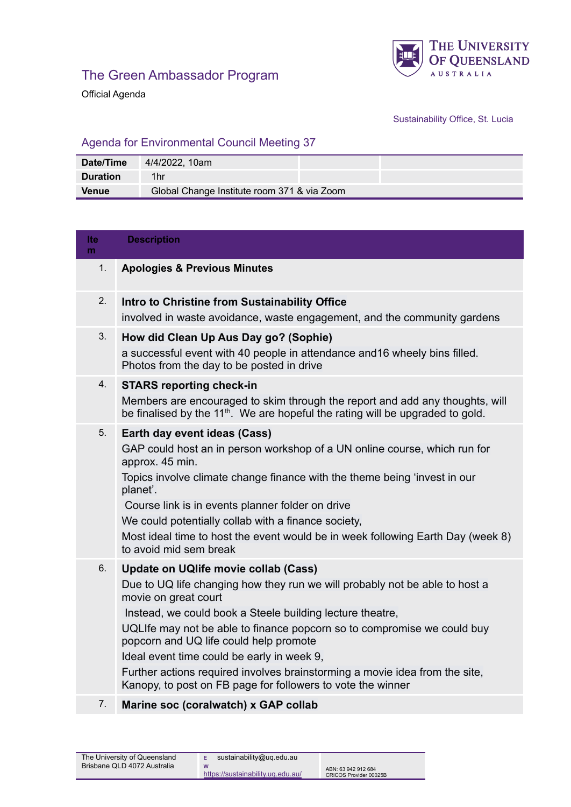

Official Agenda

## Sustainability Office, St. Lucia

## Agenda for Environmental Council Meeting 37

| Date/Time       | 4/4/2022, 10am                              |
|-----------------|---------------------------------------------|
| <b>Duration</b> | 1hr                                         |
| <b>Venue</b>    | Global Change Institute room 371 & via Zoom |

| lte.<br>m | <b>Description</b>                                                                                                                                                                                                                                                                                                                                                                                                                                                                                                        |
|-----------|---------------------------------------------------------------------------------------------------------------------------------------------------------------------------------------------------------------------------------------------------------------------------------------------------------------------------------------------------------------------------------------------------------------------------------------------------------------------------------------------------------------------------|
| 1.        | <b>Apologies &amp; Previous Minutes</b>                                                                                                                                                                                                                                                                                                                                                                                                                                                                                   |
| 2.        | Intro to Christine from Sustainability Office<br>involved in waste avoidance, waste engagement, and the community gardens                                                                                                                                                                                                                                                                                                                                                                                                 |
| 3.        | How did Clean Up Aus Day go? (Sophie)<br>a successful event with 40 people in attendance and 16 wheely bins filled.<br>Photos from the day to be posted in drive                                                                                                                                                                                                                                                                                                                                                          |
| 4.        | <b>STARS reporting check-in</b><br>Members are encouraged to skim through the report and add any thoughts, will<br>be finalised by the $11th$ . We are hopeful the rating will be upgraded to gold.                                                                                                                                                                                                                                                                                                                       |
| 5.        | Earth day event ideas (Cass)<br>GAP could host an in person workshop of a UN online course, which run for<br>approx. 45 min.<br>Topics involve climate change finance with the theme being 'invest in our<br>planet'.<br>Course link is in events planner folder on drive<br>We could potentially collab with a finance society,<br>Most ideal time to host the event would be in week following Earth Day (week 8)<br>to avoid mid sem break                                                                             |
| 6.        | Update on UQlife movie collab (Cass)<br>Due to UQ life changing how they run we will probably not be able to host a<br>movie on great court<br>Instead, we could book a Steele building lecture theatre,<br>UQLIfe may not be able to finance popcorn so to compromise we could buy<br>popcorn and UQ life could help promote<br>Ideal event time could be early in week 9,<br>Further actions required involves brainstorming a movie idea from the site,<br>Kanopy, to post on FB page for followers to vote the winner |
| 7.        | Marine soc (coralwatch) x GAP collab                                                                                                                                                                                                                                                                                                                                                                                                                                                                                      |